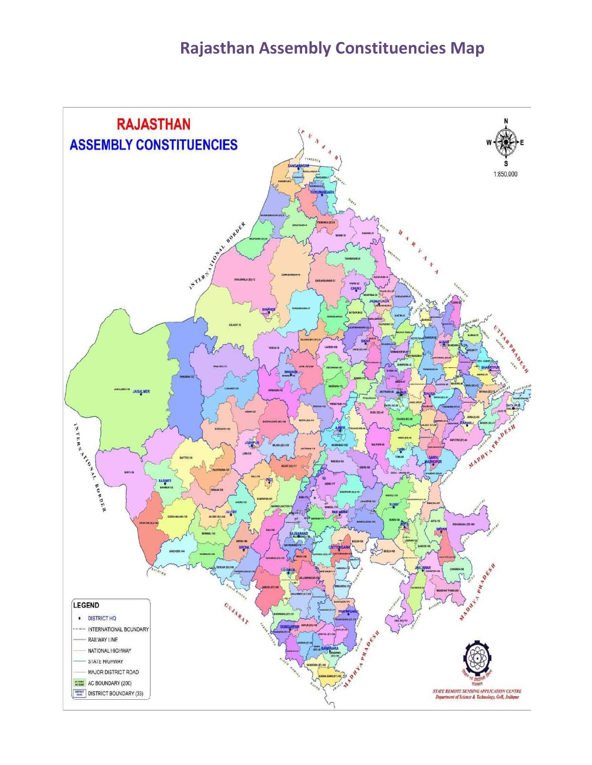## **Rajasthan Assembly Constituencies Map**